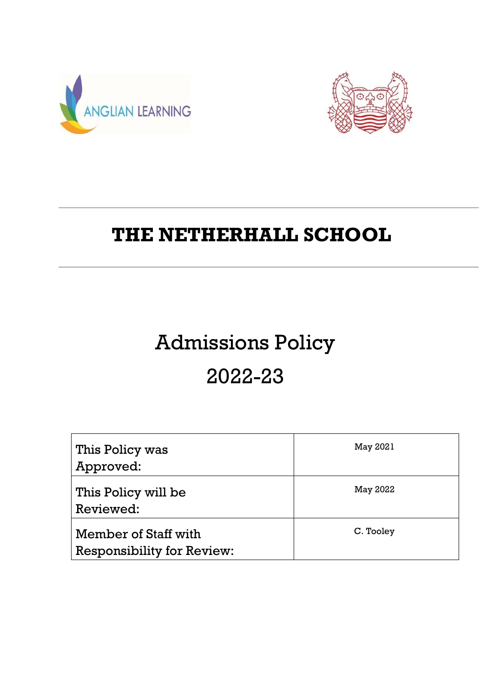



# **THE NETHERHALL SCHOOL**

# Admissions Policy

# 2022-23

| This Policy was<br>Approved:                              | May 2021  |
|-----------------------------------------------------------|-----------|
| This Policy will be<br>Reviewed:                          | May 2022  |
| Member of Staff with<br><b>Responsibility for Review:</b> | C. Tooley |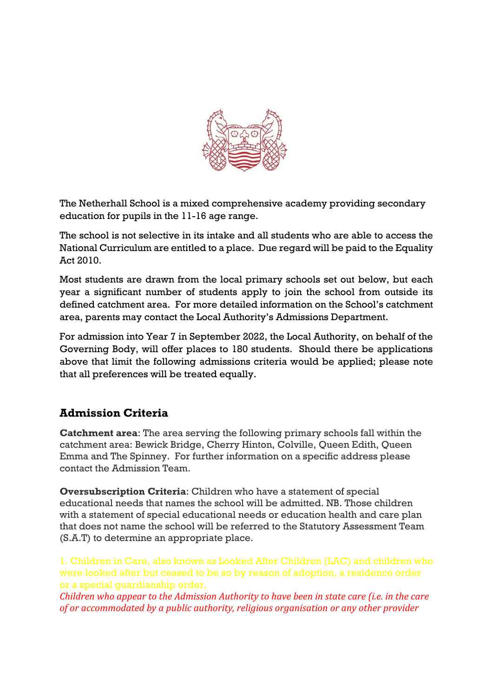

The Netherhall School is a mixed comprehensive academy providing secondary education for pupils in the 11-16 age range.

The school is not selective in its intake and all students who are able to access the National Curriculum are entitled to a place. Due regard will be paid to the Equality Act 2010.

Most students are drawn from the local primary schools set out below, but each year a significant number of students apply to join the school from outside its defined catchment area. For more detailed information on the School's catchment area, parents may contact the Local Authority's Admissions Department.

For admission into Year 7 in September 2022, the Local Authority, on behalf of the Governing Body, will offer places to 180 students. Should there be applications above that limit the following admissions criteria would be applied; please note that all preferences will be treated equally.

## **Admission Criteria**

**Catchment area**: The area serving the following primary schools fall within the catchment area: Bewick Bridge, Cherry Hinton, Colville, Queen Edith, Queen Emma and The Spinney. For further information on a specific address please contact the Admission Team.

**Oversubscription Criteria**: Children who have a statement of special educational needs that names the school will be admitted. NB. Those children with a statement of special educational needs or education health and care plan that does not name the school will be referred to the Statutory Assessment Team (S.A.T) to determine an appropriate place.

1. Children in Care, also known as Looked After Children (LAC) and children who were looked after but ceased to be so by reason of adoption, a residence order or a special guardianship order.

*Children who appear to the Admission Authority to have been in state care (i.e. in the care of or accommodated by a public authority, religious organisation or any other provider*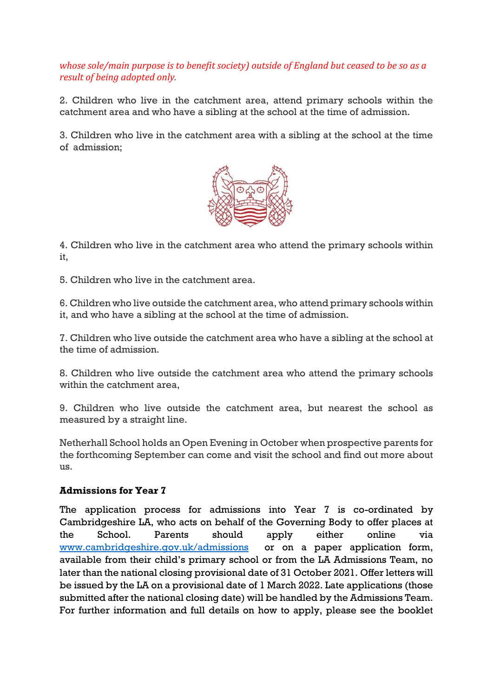## *whose sole/main purpose is to benefit society) outside of England but ceased to be so as a result of being adopted only.*

2. Children who live in the catchment area, attend primary schools within the catchment area and who have a sibling at the school at the time of admission.

3. Children who live in the catchment area with a sibling at the school at the time of admission;



4. Children who live in the catchment area who attend the primary schools within it,

5. Children who live in the catchment area.

6. Children who live outside the catchment area, who attend primary schools within it, and who have a sibling at the school at the time of admission.

7. Children who live outside the catchment area who have a sibling at the school at the time of admission.

8. Children who live outside the catchment area who attend the primary schools within the catchment area,

9. Children who live outside the catchment area, but nearest the school as measured by a straight line.

Netherhall School holds an Open Evening in October when prospective parents for the forthcoming September can come and visit the school and find out more about us.

### **Admissions for Year 7**

The application process for admissions into Year 7 is co-ordinated by Cambridgeshire LA, who acts on behalf of the Governing Body to offer places at the School. Parents should apply either online via [www.cambridgeshire.gov.uk/admissions](http://www.cambridgeshire.gov.uk/admissions) or on a paper application form, available from their child's primary school or from the LA Admissions Team, no later than the national closing provisional date of 31 October 2021. Offer letters will be issued by the LA on a provisional date of 1 March 2022. Late applications (those submitted after the national closing date) will be handled by the Admissions Team. For further information and full details on how to apply, please see the booklet